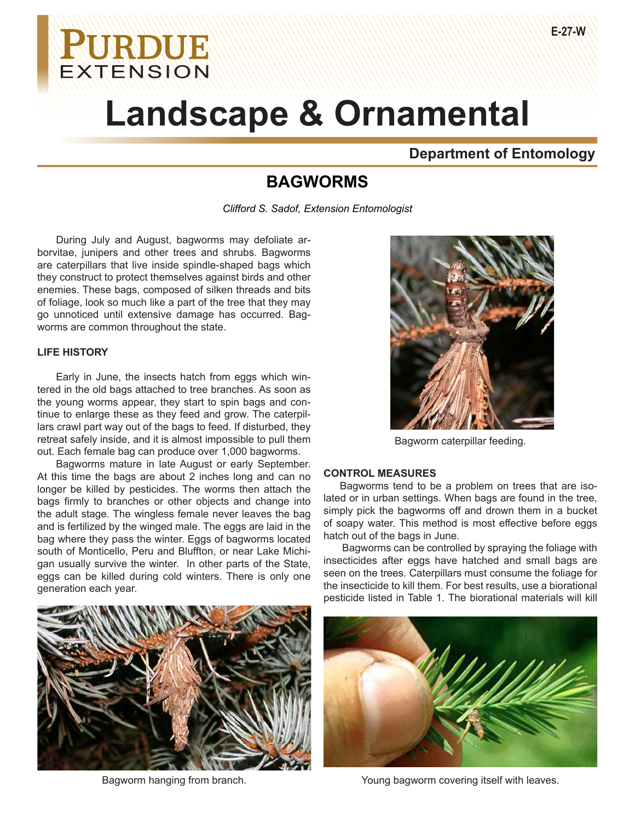## **Department of Entomology**

## **BAGWORMS**

*Clifford S. Sadof, Extension Entomologist*

During July and August, bagworms may defoliate arborvitae, junipers and other trees and shrubs. Bagworms are caterpillars that live inside spindle-shaped bags which they construct to protect themselves against birds and other enemies. These bags, composed of silken threads and bits of foliage, look so much like a part of the tree that they may go unnoticed until extensive damage has occurred. Bagworms are common throughout the state.

## **LIFE HISTORY**

Early in June, the insects hatch from eggs which wintered in the old bags attached to tree branches. As soon as the young worms appear, they start to spin bags and continue to enlarge these as they feed and grow. The caterpillars crawl part way out of the bags to feed. If disturbed, they retreat safely inside, and it is almost impossible to pull them out. Each female bag can produce over 1,000 bagworms.

Bagworms mature in late August or early September. At this time the bags are about 2 inches long and can no longer be killed by pesticides. The worms then attach the bags firmly to branches or other objects and change into the adult stage. The wingless female never leaves the bag and is fertilized by the winged male. The eggs are laid in the bag where they pass the winter. Eggs of bagworms located south of Monticello, Peru and Bluffton, or near Lake Michigan usually survive the winter. In other parts of the State, eggs can be killed during cold winters. There is only one generation each year.





Bagworm caterpillar feeding.

## **CONTROL MEASURES**

Bagworms tend to be a problem on trees that are isolated or in urban settings. When bags are found in the tree, simply pick the bagworms off and drown them in a bucket of soapy water. This method is most effective before eggs hatch out of the bags in June.

Bagworms can be controlled by spraying the foliage with insecticides after eggs have hatched and small bags are seen on the trees. Caterpillars must consume the foliage for the insecticide to kill them. For best results, use a biorational pesticide listed in Table 1. The biorational materials will kill



Bagworm hanging from branch. Young bagworm covering itself with leaves.